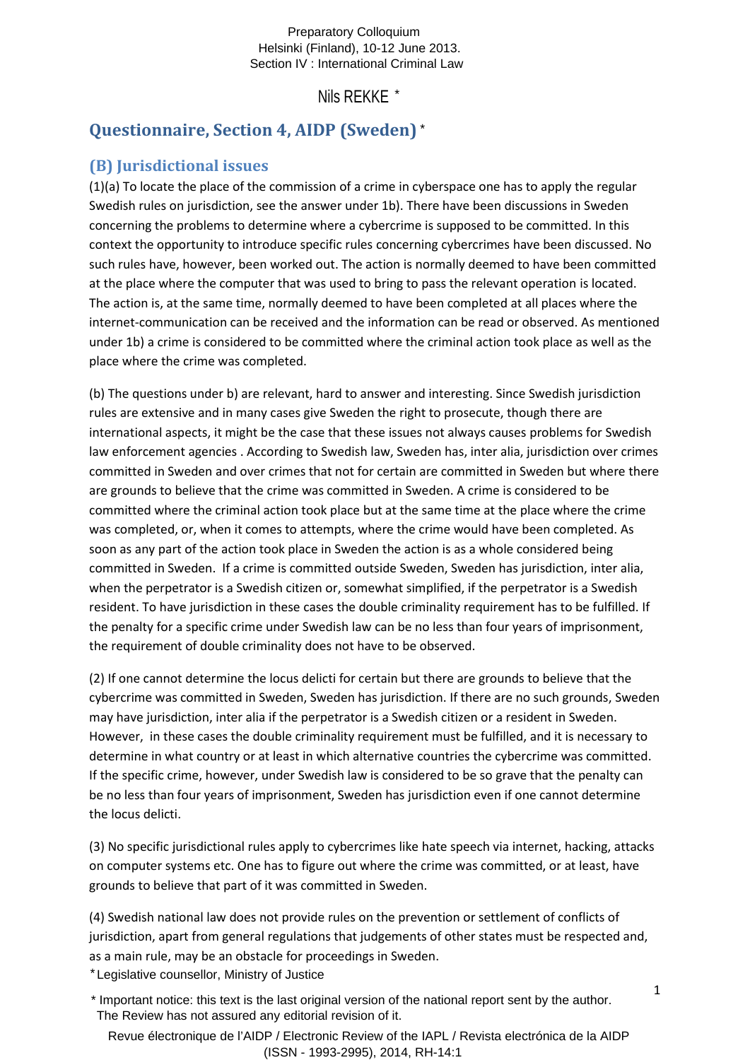#### Preparatory Colloquium Helsinki (Finland), 10-12 June 2013. Section IV : International Criminal Law

Nils REKKE \*

# **Questionnaire, Section 4, AIDP (Sweden)**  \*

## **(B) Jurisdictional issues**

(1)(a) To locate the place of the commission of a crime in cyberspace one has to apply the regular Swedish rules on jurisdiction, see the answer under 1b). There have been discussions in Sweden concerning the problems to determine where a cybercrime is supposed to be committed. In this context the opportunity to introduce specific rules concerning cybercrimes have been discussed. No such rules have, however, been worked out. The action is normally deemed to have been committed at the place where the computer that was used to bring to pass the relevant operation is located. The action is, at the same time, normally deemed to have been completed at all places where the internet-communication can be received and the information can be read or observed. As mentioned under 1b) a crime is considered to be committed where the criminal action took place as well as the place where the crime was completed.

(b) The questions under b) are relevant, hard to answer and interesting. Since Swedish jurisdiction rules are extensive and in many cases give Sweden the right to prosecute, though there are international aspects, it might be the case that these issues not always causes problems for Swedish law enforcement agencies . According to Swedish law, Sweden has, inter alia, jurisdiction over crimes committed in Sweden and over crimes that not for certain are committed in Sweden but where there are grounds to believe that the crime was committed in Sweden. A crime is considered to be committed where the criminal action took place but at the same time at the place where the crime was completed, or, when it comes to attempts, where the crime would have been completed. As soon as any part of the action took place in Sweden the action is as a whole considered being committed in Sweden. If a crime is committed outside Sweden, Sweden has jurisdiction, inter alia, when the perpetrator is a Swedish citizen or, somewhat simplified, if the perpetrator is a Swedish resident. To have jurisdiction in these cases the double criminality requirement has to be fulfilled. If the penalty for a specific crime under Swedish law can be no less than four years of imprisonment, the requirement of double criminality does not have to be observed.

(2) If one cannot determine the locus delicti for certain but there are grounds to believe that the cybercrime was committed in Sweden, Sweden has jurisdiction. If there are no such grounds, Sweden may have jurisdiction, inter alia if the perpetrator is a Swedish citizen or a resident in Sweden. However, in these cases the double criminality requirement must be fulfilled, and it is necessary to determine in what country or at least in which alternative countries the cybercrime was committed. If the specific crime, however, under Swedish law is considered to be so grave that the penalty can be no less than four years of imprisonment, Sweden has jurisdiction even if one cannot determine the locus delicti.

(3) No specific jurisdictional rules apply to cybercrimes like hate speech via internet, hacking, attacks on computer systems etc. One has to figure out where the crime was committed, or at least, have grounds to believe that part of it was committed in Sweden.

(4) Swedish national law does not provide rules on the prevention or settlement of conflicts of jurisdiction, apart from general regulations that judgements of other states must be respected and, as a main rule, may be an obstacle for proceedings in Sweden.

Legislative counsellor, Ministry of Justice \*

Revue électronique de l'AIDP / Electronic Review of the IAPL / Revista electrónica de la AIDP (ISSN - 1993-2995), 2014, RH-14:1

1

<sup>\*</sup> Important notice: this text is the last original version of the national report sent by the author. The Review has not assured any editorial revision of it.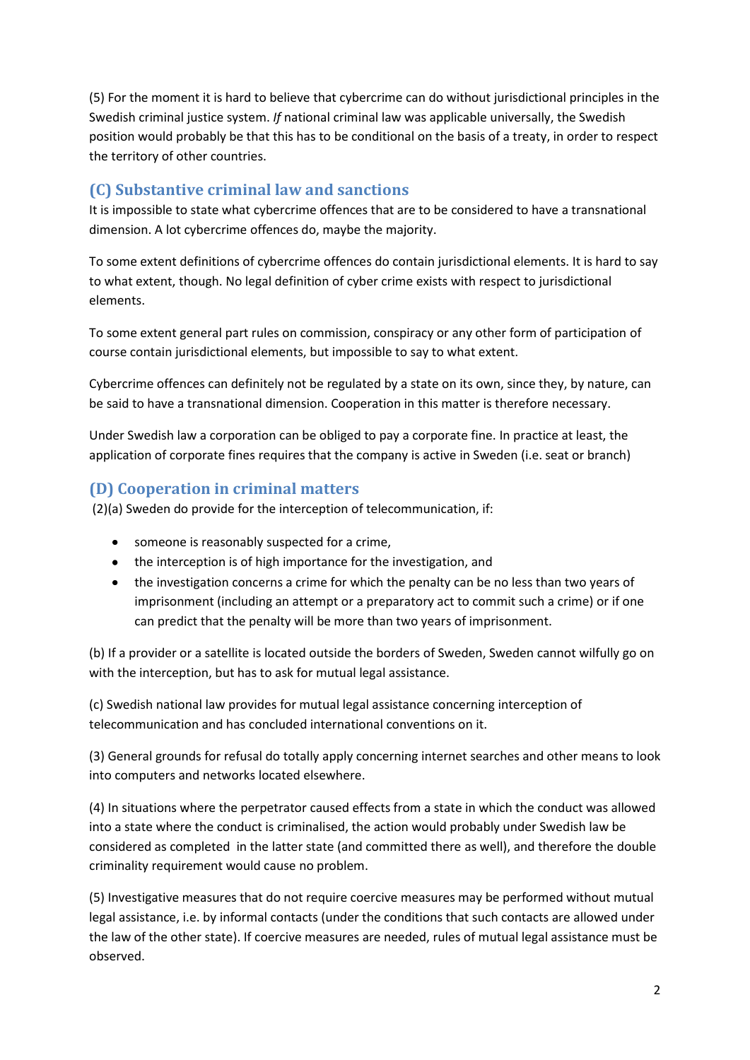(5) For the moment it is hard to believe that cybercrime can do without jurisdictional principles in the Swedish criminal justice system. *If* national criminal law was applicable universally, the Swedish position would probably be that this has to be conditional on the basis of a treaty, in order to respect the territory of other countries.

## **(C) Substantive criminal law and sanctions**

It is impossible to state what cybercrime offences that are to be considered to have a transnational dimension. A lot cybercrime offences do, maybe the majority.

To some extent definitions of cybercrime offences do contain jurisdictional elements. It is hard to say to what extent, though. No legal definition of cyber crime exists with respect to jurisdictional elements.

To some extent general part rules on commission, conspiracy or any other form of participation of course contain jurisdictional elements, but impossible to say to what extent.

Cybercrime offences can definitely not be regulated by a state on its own, since they, by nature, can be said to have a transnational dimension. Cooperation in this matter is therefore necessary.

Under Swedish law a corporation can be obliged to pay a corporate fine. In practice at least, the application of corporate fines requires that the company is active in Sweden (i.e. seat or branch)

### **(D) Cooperation in criminal matters**

(2)(a) Sweden do provide for the interception of telecommunication, if:

- someone is reasonably suspected for a crime,
- the interception is of high importance for the investigation, and
- the investigation concerns a crime for which the penalty can be no less than two years of imprisonment (including an attempt or a preparatory act to commit such a crime) or if one can predict that the penalty will be more than two years of imprisonment.

(b) If a provider or a satellite is located outside the borders of Sweden, Sweden cannot wilfully go on with the interception, but has to ask for mutual legal assistance.

(c) Swedish national law provides for mutual legal assistance concerning interception of telecommunication and has concluded international conventions on it.

(3) General grounds for refusal do totally apply concerning internet searches and other means to look into computers and networks located elsewhere.

(4) In situations where the perpetrator caused effects from a state in which the conduct was allowed into a state where the conduct is criminalised, the action would probably under Swedish law be considered as completed in the latter state (and committed there as well), and therefore the double criminality requirement would cause no problem.

(5) Investigative measures that do not require coercive measures may be performed without mutual legal assistance, i.e. by informal contacts (under the conditions that such contacts are allowed under the law of the other state). If coercive measures are needed, rules of mutual legal assistance must be observed.